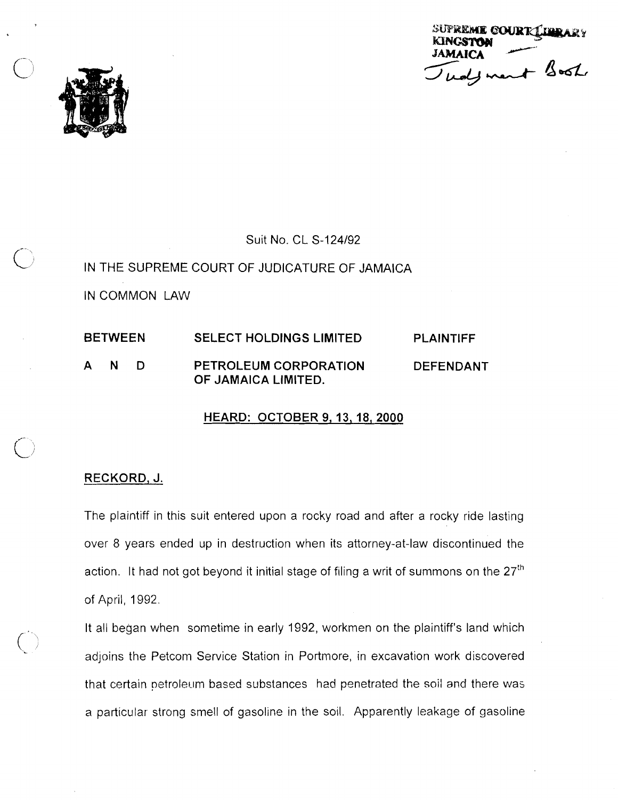SUPREME COURT CHERARY **KINGSTON** AMAICA<br>Und y ment Book ЈАМАЈС



Suit No. CL S-124192 IN THE SUPREME COURT OF JUDICATURE OF JAMAICA IN COMMON LAW

## BETWEEN SELECT HOLDINGS LIMITED PLAINTIFF AND PETROLEUM CORPORATION DEFENDANT OF JAMAICA LIMITED.

## HEARD: OCTOBER **9,13,18,2000**

## RECKORD, J.

The plaintiff in this suit entered upon a rocky road and after a rocky ride lasting over 8 years ended up in destruction when its attorney-at-law discontinued the action. It had not got beyond it initial stage of filing a writ of summons on the 27<sup>th</sup> of April, 1992.

It all began when sometime in early 1992, workmen on the plaintiff's land which adjoins the Petcom Service Station in Portmore, in excavation work discovered that certain petroleum based substances had penetrated the soil and there was a particular strong smell of gasoline in the soil. Apparently leakage of gasoline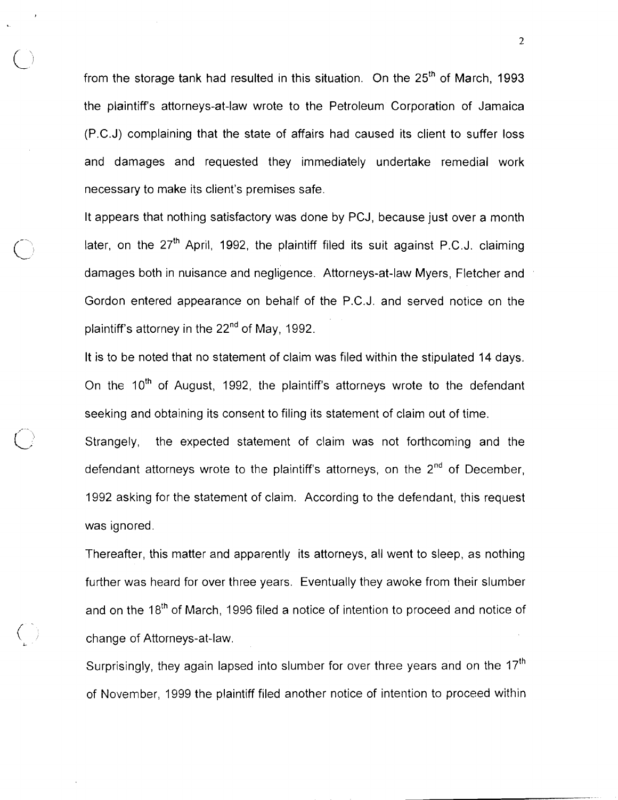from the storage tank had resulted in this situation. On the  $25<sup>th</sup>$  of March, 1993 the plaintiff's attorneys-at-law wrote to the Petroleum Corporation of Jamaica (P.C.J) complaining that the state of affairs had caused its client to suffer loss and damages and requested they immediately undertake remedial work necessary to make its client's premises safe.

 $\overline{\bigcirc}$ 

It appears that nothing satisfactory was done by PCJ, because just over a month later, on the  $27<sup>th</sup>$  April, 1992, the plaintiff filed its suit against P.C.J. claiming damages both in nuisance and negligence. Attorneys-at-law Myers, Fletcher and Gordon entered appearance on behalf of the P.C.J. and served notice on the plaintiff's attorney in the 22<sup>nd</sup> of May, 1992.

It is to be noted that no statement of claim was filed within the stipulated 14 days. On the 10<sup>th</sup> of August, 1992, the plaintiff's attorneys wrote to the defendant seeking and obtaining its consent to filing its statement of claim out of time.

Strangely, the expected statement of claim was not forthcoming and the defendant attorneys wrote to the plaintiff's attorneys, on the  $2<sup>nd</sup>$  of December, 1992 asking for the statement of claim. According to the defendant, this request was ignored.

Thereafter, this matter and apparently its attorneys, all went to sleep, as nothing further was heard for over three years. Eventually they awoke from their slumber and on the 18<sup>th</sup> of March, 1996 filed a notice of intention to proceed and notice of ( -; change of Attorneys-at-law. **<sup>L</sup>**

> Surprisingly, they again lapsed into slumber for over three years and on the  $17<sup>th</sup>$ of November, 1999 the plaintiff filed another notice of intention to proceed within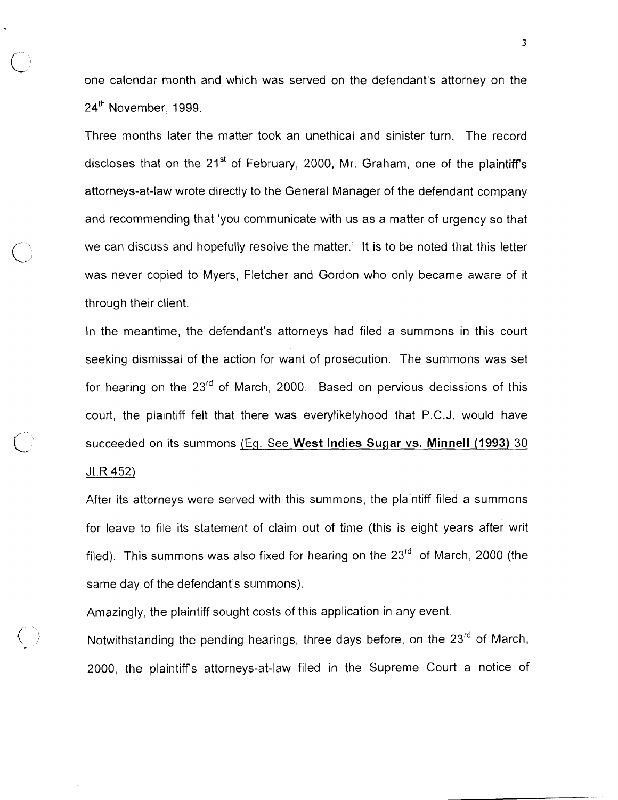one calendar month and which was served on the defendant's attorney on the 24<sup>th</sup> November, 1999.

Three months later the matter took an unethical and sinister turn. The record discloses that on the 21<sup>st</sup> of February, 2000, Mr. Graham, one of the plaintiff's attorneys-at-law wrote directly to the General Manager of the defendant company and recommending that 'you communicate with us as a matter of urgency so that we can discuss and hopefully resolve the matter.' It is to be noted that this letter was never copied to Myers, Fletcher and Gordon who only became aware of it through their client.

In the meantime, the defendant's attorneys had filed a summons in this court seeking dismissal of the action for want of prosecution. The summons was set for hearing on the  $23<sup>rd</sup>$  of March, 2000. Based on pervious decissions of this court, the plaintiff felt that there was everylikelyhood that P.C.J. would have succeeded on its summons IEg. See West lndies **Sugar** vs. Minnell **(1993)** 30 JLR 452)

After its attorneys were served with this summons, the plaintiff filed a summons for leave to file its statement of claim out of time (this is eight years after writ filed). This summons was also fixed for hearing on the  $23<sup>rd</sup>$  of March, 2000 (the same day of the defendant's summons).

Amazingly, the plaintiff sought costs of this application in any event.

 $\bigcup$ 

Notwithstanding the pending hearings, three days before, on the 23<sup>rd</sup> of March, 2000, the plaintiff's attorneys-at-law filed in the Supreme Court a notice of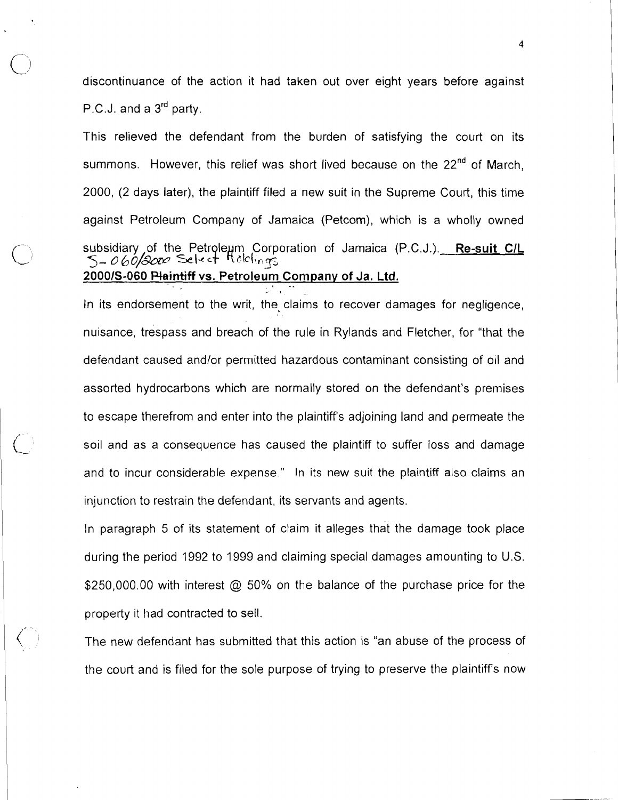discontinuance of the action it had taken out over eight years before against P.C.J. and a 3<sup>rd</sup> party.

This relieved the defendant from the burden of satisfying the court on its summons. However, this relief was short lived because on the  $22<sup>nd</sup>$  of March, 2000, (2 days later), the plaintiff filed a new suit in the Supreme Court, this time against Petroleum Company of Jamaica (Petcom), which is a wholly owned subsidiary of the Petroleum Corporation of Jamaica (P.C.J.). **Re-suit CIL**<br>5- *060/300* Selset Nelsings **20001~-060 Mintiff vs. ~etrole~rn Company of Ja. Ltd. <sup>s</sup>**.. .- t

In its endorsement to the writ, the claims to recover damages for negligence, nuisance, trespass and breach of the rule in Rylands and Fletcher, for "that the defendant caused andlor permitted hazardous contaminant consisting of oil and assorted hydrocarbons which are normally stored on the defendant's premises to escape therefrom and enter into the plaintiffs adjoining land and permeate the soil and as a consequence has caused the plaintiff to suffer loss and damage and to incur considerable expense." In its new suit the plaintiff also claims an injunction to restrain the defendant, its servants and agents.

In paragraph 5 of its statement of claim it alleges that the damage took place during the period 1992 to 1999 and claiming special damages amounting to U.S. \$250,000.00 with interest  $\omega$  50% on the balance of the purchase price for the property it had contracted to sell.

The new defendant has submitted that this action is "an abuse of the process of the court and is filed for the sole purpose of trying to preserve the plaintiff's now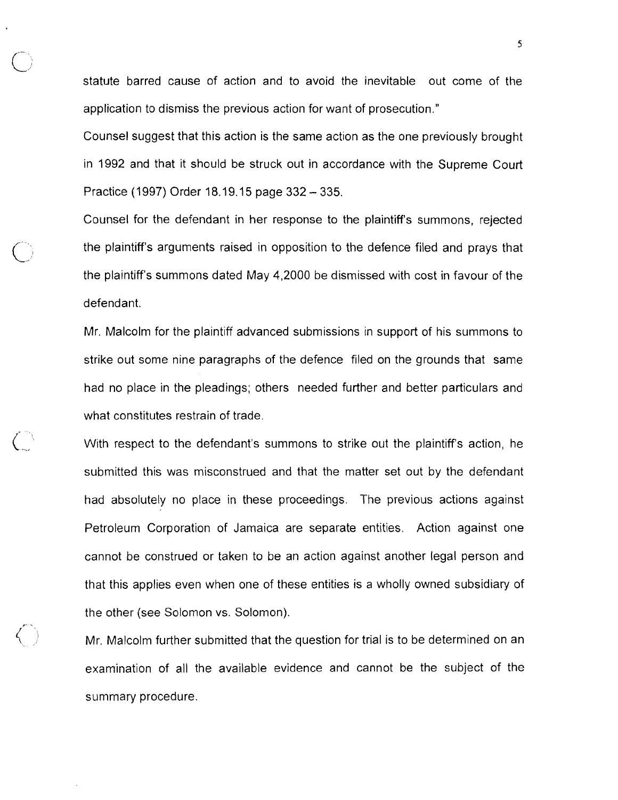statute barred cause of action and to avoid the inevitable out come of the application to dismiss the previous action for want of prosecution."

 $\bigcirc$ 

('/

Counsel suggest that this action is the same action as the one previously brought in 1992 and that it should be struck out in accordance with the Supreme Court Practice (1997) Order 18.19.15 page 332 - 335.

Counsel for the defendant in her response to the plaintiff's summons, rejected the plaintiff's arguments raised in opposition to the defence filed and prays that the plaintiff's summons dated May 4,2000 be dismissed with cost in favour of the defendant.

Mr. Malcolm for the plaintiff advanced submissions in support of his summons to strike out some nine paragraphs of the defence filed on the grounds that same had no place in the pleadings; others needed further and better particulars and what constitutes restrain of trade.

With respect to the defendant's summons to strike out the plaintiff's action, he submitted this was misconstrued and that the matter set out by the defendant had absolutely no place in these proceedings. The previous actions against Petroleum Corporation of Jamaica are separate entities. Action against one cannot be construed or taken to be an action against another legal person and that this applies even when one of these entities is a wholly owned subsidiary of the other (see Solomon vs. Solomon).

Mr. Malcolm further submitted that the question for trial is to be determined on an examination of all the available evidence and cannot be the subject of the summary procedure.